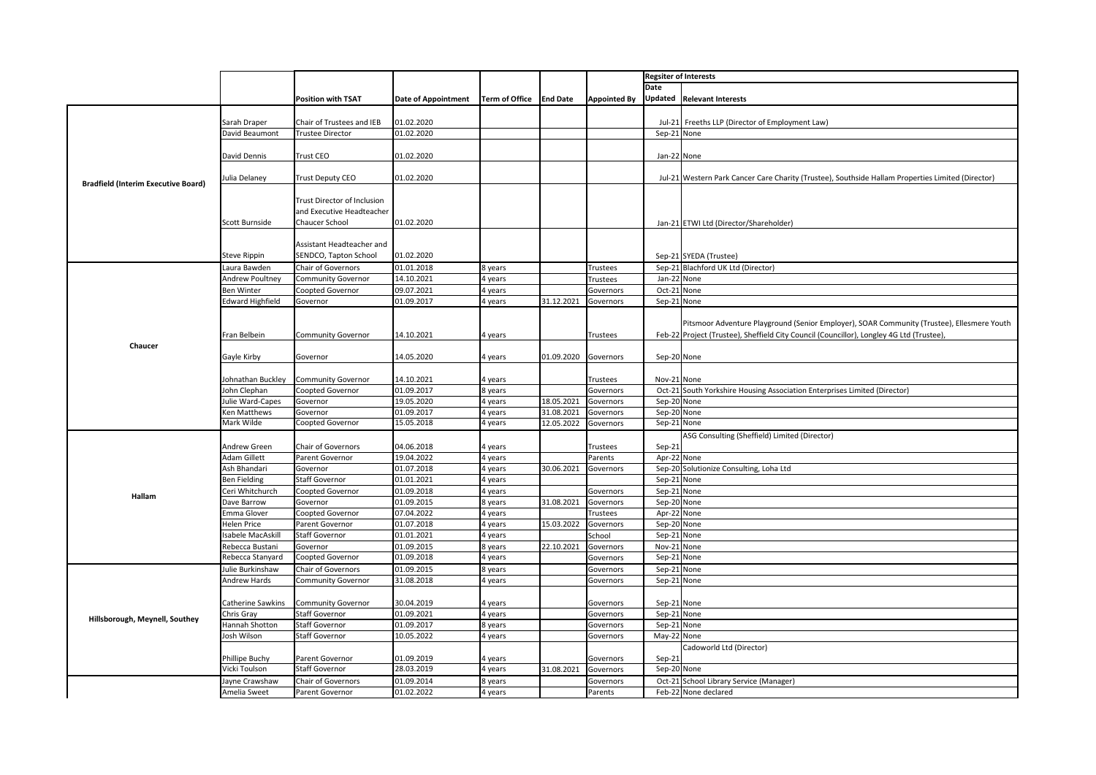|                                            |                                      |                                                    |                            |                       |                 |                              | <b>Regsiter of Interests</b> |                                                                                                   |
|--------------------------------------------|--------------------------------------|----------------------------------------------------|----------------------------|-----------------------|-----------------|------------------------------|------------------------------|---------------------------------------------------------------------------------------------------|
|                                            |                                      |                                                    |                            |                       |                 |                              | Date                         |                                                                                                   |
|                                            |                                      | <b>Position with TSAT</b>                          | <b>Date of Appointment</b> | <b>Term of Office</b> | <b>End Date</b> | <b>Appointed By</b>          |                              | Updated Relevant Interests                                                                        |
|                                            |                                      |                                                    |                            |                       |                 |                              |                              |                                                                                                   |
|                                            | Sarah Draper                         | Chair of Trustees and IEB                          | 01.02.2020                 |                       |                 |                              | Jul-21                       | Freeths LLP (Director of Employment Law)                                                          |
|                                            | David Beaumont                       | <b>Trustee Director</b>                            | 01.02.2020                 |                       |                 |                              | Sep-21 None                  |                                                                                                   |
|                                            |                                      |                                                    |                            |                       |                 |                              |                              |                                                                                                   |
|                                            | David Dennis                         | <b>Trust CEO</b>                                   | 01.02.2020                 |                       |                 |                              | Jan-22 None                  |                                                                                                   |
|                                            |                                      |                                                    |                            |                       |                 |                              |                              |                                                                                                   |
| <b>Bradfield (Interim Executive Board)</b> | ulia Delaney                         | <b>Trust Deputy CEO</b>                            | 01.02.2020                 |                       |                 |                              |                              | Jul-21 Western Park Cancer Care Charity (Trustee), Southside Hallam Properties Limited (Director) |
|                                            |                                      |                                                    |                            |                       |                 |                              |                              |                                                                                                   |
|                                            |                                      | <b>Trust Director of Inclusion</b>                 |                            |                       |                 |                              |                              |                                                                                                   |
|                                            |                                      | and Executive Headteacher                          |                            |                       |                 |                              |                              |                                                                                                   |
|                                            | Scott Burnside                       | Chaucer School                                     | 01.02.2020                 |                       |                 |                              |                              | Jan-21 ETWI Ltd (Director/Shareholder)                                                            |
|                                            |                                      |                                                    |                            |                       |                 |                              |                              |                                                                                                   |
|                                            |                                      | Assistant Headteacher and<br>SENDCO, Tapton School | 01.02.2020                 |                       |                 |                              |                              |                                                                                                   |
|                                            | Steve Rippin                         |                                                    |                            |                       |                 |                              |                              | Sep-21 SYEDA (Trustee)                                                                            |
|                                            | aura Bawden                          | Chair of Governors                                 | 01.01.2018                 | 8 years               |                 | Trustees                     | $Sep-21$                     | Blachford UK Ltd (Director)                                                                       |
|                                            | <b>Indrew Poultney</b><br>Ben Winter | <b>Community Governor</b><br>Coopted Governor      | 14.10.2021<br>09.07.2021   | 4 years<br>4 years    |                 | <b>Trustees</b><br>Governors | Jan-22<br>Oct-21             | None<br>None                                                                                      |
|                                            | Edward Highfield                     | Governor                                           | 01.09.2017                 | 4 years               | 31.12.2021      | Governors                    | Sep-21 None                  |                                                                                                   |
|                                            |                                      |                                                    |                            |                       |                 |                              |                              |                                                                                                   |
|                                            |                                      |                                                    |                            |                       |                 |                              |                              | Pitsmoor Adventure Playground (Senior Employer), SOAR Community (Trustee), Ellesmere Youth        |
|                                            | Fran Belbein                         | <b>Community Governor</b>                          | 14.10.2021                 | 4 years               |                 | Trustees                     |                              | Feb-22 Project (Trustee), Sheffield City Council (Councillor), Longley 4G Ltd (Trustee),          |
| Chaucer                                    |                                      |                                                    |                            |                       |                 |                              |                              |                                                                                                   |
|                                            | Gayle Kirby                          | Governor                                           | 14.05.2020                 | 4 years               | 01.09.2020      | Governors                    | Sep-20 None                  |                                                                                                   |
|                                            |                                      |                                                    |                            |                       |                 |                              |                              |                                                                                                   |
|                                            | Johnathan Buckley                    | <b>Community Governor</b>                          | 14.10.2021                 | 4 years               |                 | Trustees                     | Nov-21 None                  |                                                                                                   |
|                                            | John Clephan                         | Coopted Governor                                   | 01.09.2017                 | 8 years               |                 | Governors                    | Oct-21                       | South Yorkshire Housing Association Enterprises Limited (Director)                                |
|                                            | Julie Ward-Capes                     | Governor                                           | 19.05.2020                 | 4 years               | 18.05.2021      | Governors                    | Sep-20                       | None                                                                                              |
|                                            | Ken Matthews                         | Governor                                           | 01.09.2017                 | 4 years               | 31.08.2021      | Governors                    | Sep-20                       | None                                                                                              |
|                                            | Mark Wilde                           | Coopted Governor                                   | 15.05.2018                 | 4 years               | 12.05.2022      | Governors                    | Sep-21                       | None                                                                                              |
|                                            |                                      |                                                    |                            |                       |                 |                              |                              | ASG Consulting (Sheffield) Limited (Director)                                                     |
|                                            | Andrew Green                         | Chair of Governors                                 | 04.06.2018                 | 4 years               |                 | Trustees                     | Sep-21                       |                                                                                                   |
|                                            | Adam Gillett                         | Parent Governor                                    | 19.04.2022                 | 4 years               |                 | Parents                      | Apr-22                       | None                                                                                              |
|                                            | Ash Bhandari                         | Governor                                           | 01.07.2018                 | 4 years               | 30.06.2021      | Governors                    | Sep-20                       | Solutionize Consulting, Loha Ltd                                                                  |
|                                            | Ben Fielding                         | Staff Governor                                     | 01.01.2021                 | 4 years               |                 |                              | Sep-21                       | None                                                                                              |
| Hallam                                     | `eri Whitchurch                      | Coopted Governor                                   | 01.09.2018                 | 4 years               |                 | Governors                    | $Sep-21$                     | None                                                                                              |
|                                            | Dave Barrow                          | Governor                                           | 01.09.2015                 | 8 years               | 31.08.2021      | Governors                    | Sep-20                       | None                                                                                              |
| Hillsborough, Meynell, Southey             | Emma Glover                          | Coopted Governor                                   | 07.04.2022                 | 4 years               |                 | Trustees                     | Apr-22                       | None                                                                                              |
|                                            | lelen Price                          | Parent Governor                                    | 01.07.2018                 | 4 years               | 15.03.2022      | Governors                    | Sep-20                       | None                                                                                              |
|                                            | sabele MacAskill                     | Staff Governor                                     | 01.01.2021                 | 4 years               |                 | School                       | Sep-2                        | None                                                                                              |
|                                            | Rebecca Bustani                      | Governor                                           | 01.09.2015                 | 8 years               | 22.10.2021      | Governors                    | Nov-2:                       | None                                                                                              |
|                                            | Rebecca Stanyard                     | Coopted Governor                                   | 01.09.2018                 | 4 years               |                 | Governors                    | $Sep-21$                     | None                                                                                              |
|                                            | Julie Burkinshaw                     | Chair of Governors                                 | 01.09.2015                 | 8 years               |                 | Governors                    | Sep-2                        | None                                                                                              |
|                                            | Andrew Hards                         | <b>Community Governor</b>                          | 31.08.2018                 | 4 years               |                 | Governors                    | Sep-21                       | None                                                                                              |
|                                            |                                      |                                                    |                            |                       |                 |                              |                              |                                                                                                   |
|                                            | Catherine Sawkins                    | <b>Community Governor</b><br>Staff Governor        | 30.04.2019<br>01.09.2021   | 4 years               |                 | Governors                    | Sep-21 None                  | None                                                                                              |
|                                            | Chris Gray<br>lannah Shotton         | Staff Governor                                     | 01.09.2017                 | 4 years<br>8 years    |                 | Governors                    | $Sep-21$<br>Sep-21           | None                                                                                              |
|                                            | Josh Wilson                          | <b>Staff Governor</b>                              | 10.05.2022                 | 4 years               |                 | Governors<br>Governors       | May-22 None                  |                                                                                                   |
|                                            |                                      |                                                    |                            |                       |                 |                              |                              | Cadoworld Ltd (Director)                                                                          |
|                                            | Phillipe Buchy                       | Parent Governor                                    | 01.09.2019                 | 4 years               |                 | Governors                    | Sep-21                       |                                                                                                   |
|                                            | Vicki Toulson                        | Staff Governor                                     | 28.03.2019                 | 4 years               | 31.08.2021      | Governors                    | Sep-20                       | None                                                                                              |
|                                            | ayne Crawshaw                        | Chair of Governors                                 | 01.09.2014                 | 8 years               |                 | Governors                    | Oct-21                       | School Library Service (Manager)                                                                  |
|                                            | Amelia Sweet                         | Parent Governor                                    | 01.02.2022                 | 4 years               |                 | Parents                      |                              | Feb-22 None declared                                                                              |
|                                            |                                      |                                                    |                            |                       |                 |                              |                              |                                                                                                   |